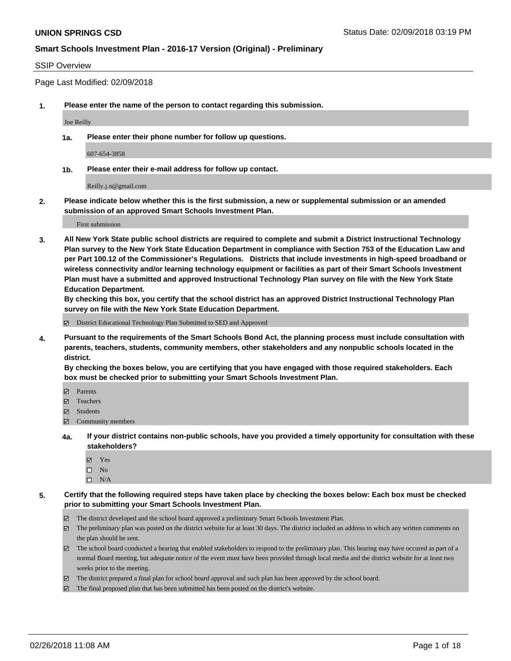### SSIP Overview

Page Last Modified: 02/09/2018

**1. Please enter the name of the person to contact regarding this submission.**

Joe Reilly

**1a. Please enter their phone number for follow up questions.**

607-654-3858

**1b. Please enter their e-mail address for follow up contact.**

Reilly.j.n@gmail.com

**2. Please indicate below whether this is the first submission, a new or supplemental submission or an amended submission of an approved Smart Schools Investment Plan.**

First submission

**3. All New York State public school districts are required to complete and submit a District Instructional Technology Plan survey to the New York State Education Department in compliance with Section 753 of the Education Law and per Part 100.12 of the Commissioner's Regulations. Districts that include investments in high-speed broadband or wireless connectivity and/or learning technology equipment or facilities as part of their Smart Schools Investment Plan must have a submitted and approved Instructional Technology Plan survey on file with the New York State Education Department.** 

**By checking this box, you certify that the school district has an approved District Instructional Technology Plan survey on file with the New York State Education Department.**

District Educational Technology Plan Submitted to SED and Approved

**4. Pursuant to the requirements of the Smart Schools Bond Act, the planning process must include consultation with parents, teachers, students, community members, other stakeholders and any nonpublic schools located in the district.** 

**By checking the boxes below, you are certifying that you have engaged with those required stakeholders. Each box must be checked prior to submitting your Smart Schools Investment Plan.**

- Parents
- Teachers
- Students
- $\Xi$  Community members
- **4a. If your district contains non-public schools, have you provided a timely opportunity for consultation with these stakeholders?**
	- Yes
	- $\square$  No
	- $\square$  N/A
- **5. Certify that the following required steps have taken place by checking the boxes below: Each box must be checked prior to submitting your Smart Schools Investment Plan.**
	- The district developed and the school board approved a preliminary Smart Schools Investment Plan.
	- $\boxtimes$  The preliminary plan was posted on the district website for at least 30 days. The district included an address to which any written comments on the plan should be sent.
	- $\boxtimes$  The school board conducted a hearing that enabled stakeholders to respond to the preliminary plan. This hearing may have occured as part of a normal Board meeting, but adequate notice of the event must have been provided through local media and the district website for at least two weeks prior to the meeting.
	- The district prepared a final plan for school board approval and such plan has been approved by the school board.
	- $\boxtimes$  The final proposed plan that has been submitted has been posted on the district's website.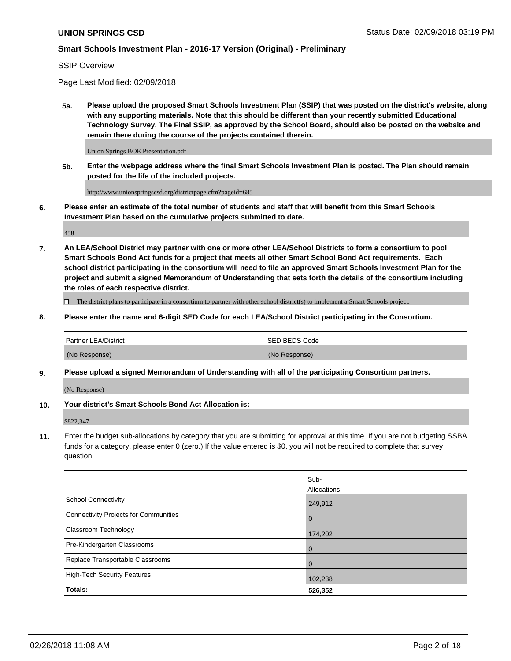#### SSIP Overview

Page Last Modified: 02/09/2018

**5a. Please upload the proposed Smart Schools Investment Plan (SSIP) that was posted on the district's website, along with any supporting materials. Note that this should be different than your recently submitted Educational Technology Survey. The Final SSIP, as approved by the School Board, should also be posted on the website and remain there during the course of the projects contained therein.**

Union Springs BOE Presentation.pdf

**5b. Enter the webpage address where the final Smart Schools Investment Plan is posted. The Plan should remain posted for the life of the included projects.**

http://www.unionspringscsd.org/districtpage.cfm?pageid=685

**6. Please enter an estimate of the total number of students and staff that will benefit from this Smart Schools Investment Plan based on the cumulative projects submitted to date.**

458

**7. An LEA/School District may partner with one or more other LEA/School Districts to form a consortium to pool Smart Schools Bond Act funds for a project that meets all other Smart School Bond Act requirements. Each school district participating in the consortium will need to file an approved Smart Schools Investment Plan for the project and submit a signed Memorandum of Understanding that sets forth the details of the consortium including the roles of each respective district.**

 $\Box$  The district plans to participate in a consortium to partner with other school district(s) to implement a Smart Schools project.

**8. Please enter the name and 6-digit SED Code for each LEA/School District participating in the Consortium.**

| <b>Partner LEA/District</b> | <b>ISED BEDS Code</b> |
|-----------------------------|-----------------------|
| (No Response)               | (No Response)         |

#### **9. Please upload a signed Memorandum of Understanding with all of the participating Consortium partners.**

(No Response)

**10. Your district's Smart Schools Bond Act Allocation is:**

\$822,347

**11.** Enter the budget sub-allocations by category that you are submitting for approval at this time. If you are not budgeting SSBA funds for a category, please enter 0 (zero.) If the value entered is \$0, you will not be required to complete that survey question.

|                                       | Sub-<br>Allocations |
|---------------------------------------|---------------------|
| <b>School Connectivity</b>            | 249,912             |
| Connectivity Projects for Communities | $\overline{0}$      |
| Classroom Technology                  | 174,202             |
| Pre-Kindergarten Classrooms           | $\overline{0}$      |
| Replace Transportable Classrooms      | 0                   |
| <b>High-Tech Security Features</b>    | 102,238             |
| Totals:                               | 526,352             |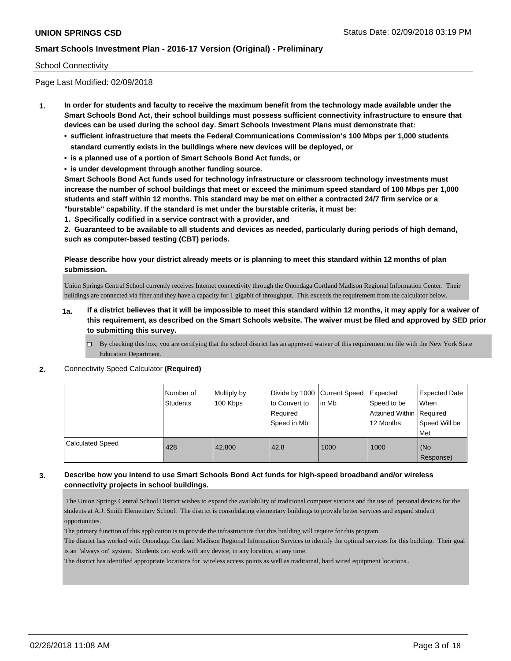### School Connectivity

Page Last Modified: 02/09/2018

- **1. In order for students and faculty to receive the maximum benefit from the technology made available under the Smart Schools Bond Act, their school buildings must possess sufficient connectivity infrastructure to ensure that devices can be used during the school day. Smart Schools Investment Plans must demonstrate that:**
	- **• sufficient infrastructure that meets the Federal Communications Commission's 100 Mbps per 1,000 students standard currently exists in the buildings where new devices will be deployed, or**
	- **• is a planned use of a portion of Smart Schools Bond Act funds, or**
	- **• is under development through another funding source.**

**Smart Schools Bond Act funds used for technology infrastructure or classroom technology investments must increase the number of school buildings that meet or exceed the minimum speed standard of 100 Mbps per 1,000 students and staff within 12 months. This standard may be met on either a contracted 24/7 firm service or a "burstable" capability. If the standard is met under the burstable criteria, it must be:**

**1. Specifically codified in a service contract with a provider, and**

**2. Guaranteed to be available to all students and devices as needed, particularly during periods of high demand, such as computer-based testing (CBT) periods.**

### **Please describe how your district already meets or is planning to meet this standard within 12 months of plan submission.**

Union Springs Central School currently receives Internet connectivity through the Onondaga Cortland Madison Regional Information Center. Their buildings are connected via fiber and they have a capacity for 1 gigabit of throughput. This exceeds the requirement from the calculator below.

- **1a. If a district believes that it will be impossible to meet this standard within 12 months, it may apply for a waiver of this requirement, as described on the Smart Schools website. The waiver must be filed and approved by SED prior to submitting this survey.**
	- By checking this box, you are certifying that the school district has an approved waiver of this requirement on file with the New York State Education Department.
- **2.** Connectivity Speed Calculator **(Required)**

|                         | Number of<br>Students | Multiply by<br>100 Kbps | Divide by 1000   Current Speed<br>to Convert to<br>Required | lin Mb | Expected<br>Speed to be<br>Attained Within Required | <b>Expected Date</b><br>When |
|-------------------------|-----------------------|-------------------------|-------------------------------------------------------------|--------|-----------------------------------------------------|------------------------------|
|                         |                       |                         | Speed in Mb                                                 |        | 12 Months                                           | Speed Will be<br><b>Met</b>  |
| <b>Calculated Speed</b> | 428                   | 42.800                  | 42.8                                                        | 1000   | 1000                                                | (No<br>Response)             |

### **3. Describe how you intend to use Smart Schools Bond Act funds for high-speed broadband and/or wireless connectivity projects in school buildings.**

 The Union Springs Central School District wishes to expand the availability of traditional computer stations and the use of personal devices for the students at A.J. Smith Elementary School. The district is consolidating elementary buildings to provide better services and expand student opportunities.

The primary function of this application is to provide the infrastructure that this building will require for this program.

The district has worked with Onondaga Cortland Madison Regional Information Services to identify the optimal services for this building. Their goal is an "always on" system. Students can work with any device, in any location, at any time.

The district has identified appropriate locations for wireless access points as well as traditional, hard wired equipment locations..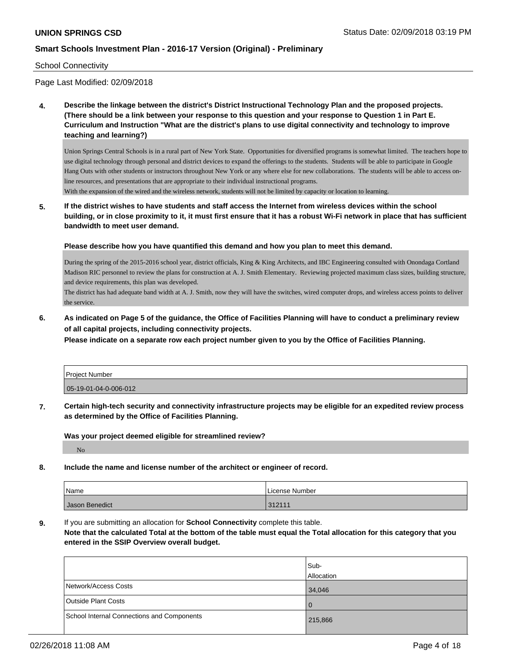### School Connectivity

Page Last Modified: 02/09/2018

**4. Describe the linkage between the district's District Instructional Technology Plan and the proposed projects. (There should be a link between your response to this question and your response to Question 1 in Part E. Curriculum and Instruction "What are the district's plans to use digital connectivity and technology to improve teaching and learning?)**

Union Springs Central Schools is in a rural part of New York State. Opportunities for diversified programs is somewhat limited. The teachers hope to use digital technology through personal and district devices to expand the offerings to the students. Students will be able to participate in Google Hang Outs with other students or instructors throughout New York or any where else for new collaborations. The students will be able to access online resources, and presentations that are appropriate to their individual instructional programs.

With the expansion of the wired and the wireless network, students will not be limited by capacity or location to learning.

**5. If the district wishes to have students and staff access the Internet from wireless devices within the school building, or in close proximity to it, it must first ensure that it has a robust Wi-Fi network in place that has sufficient bandwidth to meet user demand.**

#### **Please describe how you have quantified this demand and how you plan to meet this demand.**

During the spring of the 2015-2016 school year, district officials, King & King Architects, and IBC Engineering consulted with Onondaga Cortland Madison RIC personnel to review the plans for construction at A. J. Smith Elementary. Reviewing projected maximum class sizes, building structure, and device requirements, this plan was developed.

The district has had adequate band width at A. J. Smith, now they will have the switches, wired computer drops, and wireless access points to deliver the service.

**6. As indicated on Page 5 of the guidance, the Office of Facilities Planning will have to conduct a preliminary review of all capital projects, including connectivity projects.**

**Please indicate on a separate row each project number given to you by the Office of Facilities Planning.**

| Project Number        |  |
|-----------------------|--|
| 05-19-01-04-0-006-012 |  |

**7. Certain high-tech security and connectivity infrastructure projects may be eligible for an expedited review process as determined by the Office of Facilities Planning.**

**Was your project deemed eligible for streamlined review?** No

**8. Include the name and license number of the architect or engineer of record.**

| Name           | License Number |
|----------------|----------------|
| Jason Benedict | 312111         |

**9.** If you are submitting an allocation for **School Connectivity** complete this table.

**Note that the calculated Total at the bottom of the table must equal the Total allocation for this category that you entered in the SSIP Overview overall budget.** 

|                                            | lSub-      |
|--------------------------------------------|------------|
|                                            | Allocation |
| Network/Access Costs                       | 34,046     |
| <b>Outside Plant Costs</b>                 | $\Omega$   |
| School Internal Connections and Components | 215,866    |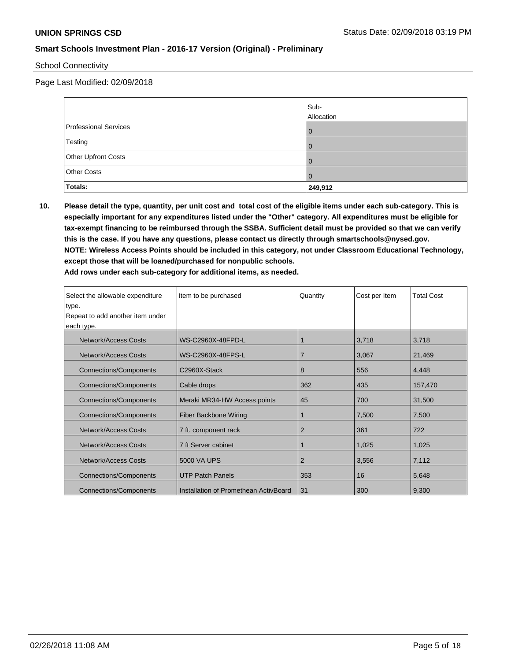### School Connectivity

Page Last Modified: 02/09/2018

|                       | Sub-<br>Allocation |
|-----------------------|--------------------|
| Professional Services |                    |
| Testing               |                    |
| Other Upfront Costs   |                    |
| Other Costs           | 0                  |
| Totals:               | 249,912            |

**10. Please detail the type, quantity, per unit cost and total cost of the eligible items under each sub-category. This is especially important for any expenditures listed under the "Other" category. All expenditures must be eligible for tax-exempt financing to be reimbursed through the SSBA. Sufficient detail must be provided so that we can verify this is the case. If you have any questions, please contact us directly through smartschools@nysed.gov. NOTE: Wireless Access Points should be included in this category, not under Classroom Educational Technology, except those that will be loaned/purchased for nonpublic schools. Add rows under each sub-category for additional items, as needed.**

| Select the allowable expenditure | Item to be purchased                  | Quantity       | Cost per Item | <b>Total Cost</b> |
|----------------------------------|---------------------------------------|----------------|---------------|-------------------|
| type.                            |                                       |                |               |                   |
| Repeat to add another item under |                                       |                |               |                   |
| each type.                       |                                       |                |               |                   |
| Network/Access Costs             | WS-C2960X-48FPD-L                     |                | 3,718         | 3,718             |
| Network/Access Costs             | WS-C2960X-48FPS-L                     | $\overline{7}$ | 3,067         | 21,469            |
| <b>Connections/Components</b>    | C2960X-Stack                          | 8              | 556           | 4,448             |
| <b>Connections/Components</b>    | Cable drops                           | 362            | 435           | 157,470           |
| <b>Connections/Components</b>    | Meraki MR34-HW Access points          | 45             | 700           | 31,500            |
| <b>Connections/Components</b>    | <b>Fiber Backbone Wiring</b>          |                | 7,500         | 7,500             |
| Network/Access Costs             | 7 ft. component rack                  | 2              | 361           | 722               |
| Network/Access Costs             | 7 ft Server cabinet                   |                | 1,025         | 1,025             |
| Network/Access Costs             | 5000 VA UPS                           | 2              | 3,556         | 7,112             |
| <b>Connections/Components</b>    | <b>UTP Patch Panels</b>               | 353            | 16            | 5,648             |
| <b>Connections/Components</b>    | Installation of Promethean ActivBoard | 31             | 300           | 9,300             |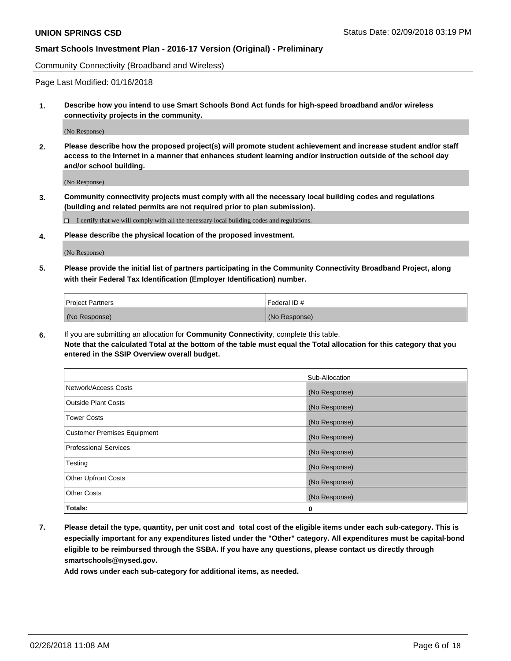Community Connectivity (Broadband and Wireless)

Page Last Modified: 01/16/2018

**1. Describe how you intend to use Smart Schools Bond Act funds for high-speed broadband and/or wireless connectivity projects in the community.**

(No Response)

**2. Please describe how the proposed project(s) will promote student achievement and increase student and/or staff access to the Internet in a manner that enhances student learning and/or instruction outside of the school day and/or school building.**

(No Response)

**3. Community connectivity projects must comply with all the necessary local building codes and regulations (building and related permits are not required prior to plan submission).**

 $\Box$  I certify that we will comply with all the necessary local building codes and regulations.

**4. Please describe the physical location of the proposed investment.**

(No Response)

**5. Please provide the initial list of partners participating in the Community Connectivity Broadband Project, along with their Federal Tax Identification (Employer Identification) number.**

| <b>Project Partners</b> | Federal ID#   |
|-------------------------|---------------|
| (No Response)           | (No Response) |

**6.** If you are submitting an allocation for **Community Connectivity**, complete this table. **Note that the calculated Total at the bottom of the table must equal the Total allocation for this category that you entered in the SSIP Overview overall budget.**

|                                    | Sub-Allocation |
|------------------------------------|----------------|
| Network/Access Costs               | (No Response)  |
| Outside Plant Costs                | (No Response)  |
| <b>Tower Costs</b>                 | (No Response)  |
| <b>Customer Premises Equipment</b> | (No Response)  |
| <b>Professional Services</b>       | (No Response)  |
| Testing                            | (No Response)  |
| <b>Other Upfront Costs</b>         | (No Response)  |
| <b>Other Costs</b>                 | (No Response)  |
| Totals:                            | 0              |

**7. Please detail the type, quantity, per unit cost and total cost of the eligible items under each sub-category. This is especially important for any expenditures listed under the "Other" category. All expenditures must be capital-bond eligible to be reimbursed through the SSBA. If you have any questions, please contact us directly through smartschools@nysed.gov.**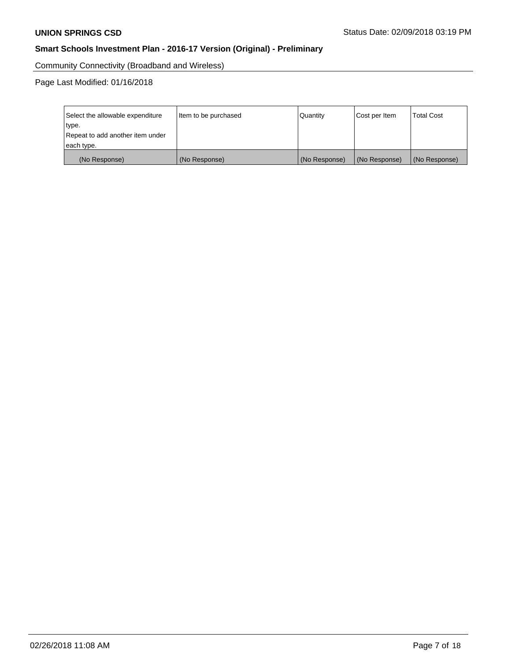Community Connectivity (Broadband and Wireless)

Page Last Modified: 01/16/2018

| Select the allowable expenditure<br>type.<br>Repeat to add another item under | Item to be purchased | Quantity      | Cost per Item | <b>Total Cost</b> |  |
|-------------------------------------------------------------------------------|----------------------|---------------|---------------|-------------------|--|
| each type.                                                                    |                      |               |               |                   |  |
| (No Response)                                                                 | (No Response)        | (No Response) | (No Response) | (No Response)     |  |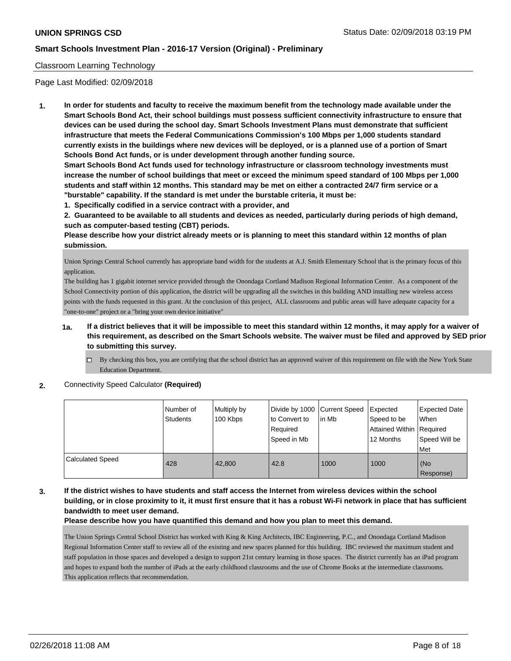### Classroom Learning Technology

Page Last Modified: 02/09/2018

**1. In order for students and faculty to receive the maximum benefit from the technology made available under the Smart Schools Bond Act, their school buildings must possess sufficient connectivity infrastructure to ensure that devices can be used during the school day. Smart Schools Investment Plans must demonstrate that sufficient infrastructure that meets the Federal Communications Commission's 100 Mbps per 1,000 students standard currently exists in the buildings where new devices will be deployed, or is a planned use of a portion of Smart Schools Bond Act funds, or is under development through another funding source.**

**Smart Schools Bond Act funds used for technology infrastructure or classroom technology investments must increase the number of school buildings that meet or exceed the minimum speed standard of 100 Mbps per 1,000 students and staff within 12 months. This standard may be met on either a contracted 24/7 firm service or a "burstable" capability. If the standard is met under the burstable criteria, it must be:**

**1. Specifically codified in a service contract with a provider, and**

**2. Guaranteed to be available to all students and devices as needed, particularly during periods of high demand, such as computer-based testing (CBT) periods.**

**Please describe how your district already meets or is planning to meet this standard within 12 months of plan submission.**

Union Springs Central School currently has appropriate band width for the students at A.J. Smith Elementary School that is the primary focus of this application.

The building has 1 gigabit internet service provided through the Onondaga Cortland Madison Regional Information Center. As a component of the School Connectivity portion of this application, the district will be upgrading all the switches in this building AND installing new wireless access points with the funds requested in this grant. At the conclusion of this project, ALL classrooms and public areas will have adequate capacity for a "one-to-one" project or a "bring your own device initiative"

### **1a. If a district believes that it will be impossible to meet this standard within 12 months, it may apply for a waiver of this requirement, as described on the Smart Schools website. The waiver must be filed and approved by SED prior to submitting this survey.**

By checking this box, you are certifying that the school district has an approved waiver of this requirement on file with the New York State Education Department.

#### **2.** Connectivity Speed Calculator **(Required)**

|                         | Number of<br>Students | Multiply by<br>100 Kbps | Divide by 1000 Current Speed<br>to Convert to<br>Required<br>Speed in Mb | lin Mb | Expected<br>Speed to be<br>Attained Within   Required<br>12 Months | <b>Expected Date</b><br>When<br>Speed Will be<br>l Met |
|-------------------------|-----------------------|-------------------------|--------------------------------------------------------------------------|--------|--------------------------------------------------------------------|--------------------------------------------------------|
| <b>Calculated Speed</b> | 428                   | 42,800                  | 42.8                                                                     | 1000   | 1000                                                               | (No<br>Response)                                       |

### **3. If the district wishes to have students and staff access the Internet from wireless devices within the school building, or in close proximity to it, it must first ensure that it has a robust Wi-Fi network in place that has sufficient bandwidth to meet user demand.**

#### **Please describe how you have quantified this demand and how you plan to meet this demand.**

The Union Springs Central School District has worked with King & King Architects, IBC Engineering, P.C., and Onondaga Cortland Madison Regional Information Center staff to review all of the existing and new spaces planned for this building. IBC reviewed the maximum student and staff population in those spaces and developed a design to support 21st century learning in those spaces. The district currently has an iPad program and hopes to expand both the number of iPads at the early childhood classrooms and the use of Chrome Books at the intermediate classrooms. This application reflects that recommendation.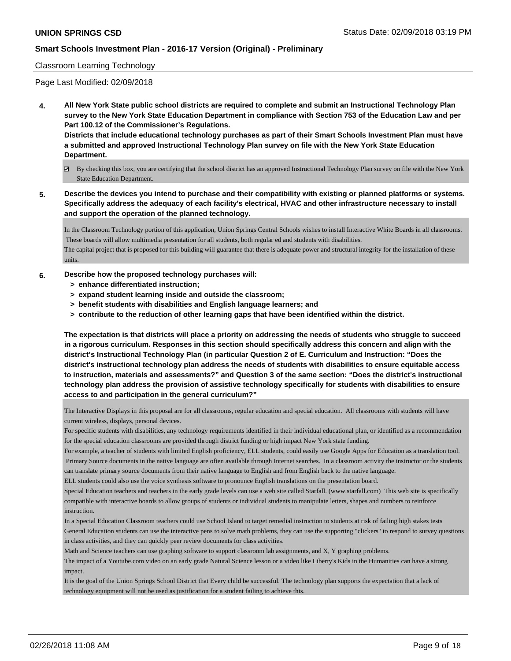### Classroom Learning Technology

Page Last Modified: 02/09/2018

**4. All New York State public school districts are required to complete and submit an Instructional Technology Plan survey to the New York State Education Department in compliance with Section 753 of the Education Law and per Part 100.12 of the Commissioner's Regulations.**

**Districts that include educational technology purchases as part of their Smart Schools Investment Plan must have a submitted and approved Instructional Technology Plan survey on file with the New York State Education Department.**

- By checking this box, you are certifying that the school district has an approved Instructional Technology Plan survey on file with the New York State Education Department.
- **5. Describe the devices you intend to purchase and their compatibility with existing or planned platforms or systems. Specifically address the adequacy of each facility's electrical, HVAC and other infrastructure necessary to install and support the operation of the planned technology.**

In the Classroom Technology portion of this application, Union Springs Central Schools wishes to install Interactive White Boards in all classrooms. These boards will allow multimedia presentation for all students, both regular ed and students with disabilities.

The capital project that is proposed for this building will guarantee that there is adequate power and structural integrity for the installation of these units.

#### **6. Describe how the proposed technology purchases will:**

- **> enhance differentiated instruction;**
- **> expand student learning inside and outside the classroom;**
- **> benefit students with disabilities and English language learners; and**
- **> contribute to the reduction of other learning gaps that have been identified within the district.**

**The expectation is that districts will place a priority on addressing the needs of students who struggle to succeed in a rigorous curriculum. Responses in this section should specifically address this concern and align with the district's Instructional Technology Plan (in particular Question 2 of E. Curriculum and Instruction: "Does the district's instructional technology plan address the needs of students with disabilities to ensure equitable access to instruction, materials and assessments?" and Question 3 of the same section: "Does the district's instructional technology plan address the provision of assistive technology specifically for students with disabilities to ensure access to and participation in the general curriculum?"**

The Interactive Displays in this proposal are for all classrooms, regular education and special education. All classrooms with students will have current wireless, displays, personal devices.

For specific students with disabilities, any technology requirements identified in their individual educational plan, or identified as a recommendation for the special education classrooms are provided through district funding or high impact New York state funding.

For example, a teacher of students with limited English proficiency, ELL students, could easily use Google Apps for Education as a translation tool. Primary Source documents in the native language are often available through Internet searches. In a classroom activity the instructor or the students can translate primary source documents from their native language to English and from English back to the native language.

ELL students could also use the voice synthesis software to pronounce English translations on the presentation board.

Special Education teachers and teachers in the early grade levels can use a web site called Starfall. (www.starfall.com) This web site is specifically compatible with interactive boards to allow groups of students or individual students to manipulate letters, shapes and numbers to reinforce instruction.

In a Special Education Classroom teachers could use School Island to target remedial instruction to students at risk of failing high stakes tests General Education students can use the interactive pens to solve math problems, they can use the supporting "clickers" to respond to survey questions in class activities, and they can quickly peer review documents for class activities.

Math and Science teachers can use graphing software to support classroom lab assignments, and X, Y graphing problems.

The impact of a Youtube.com video on an early grade Natural Science lesson or a video like Liberty's Kids in the Humanities can have a strong impact.

It is the goal of the Union Springs School District that Every child be successful. The technology plan supports the expectation that a lack of technology equipment will not be used as justification for a student failing to achieve this.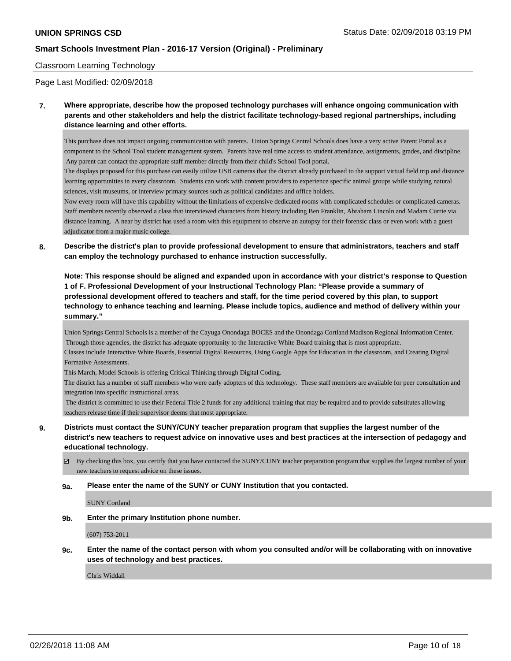### Classroom Learning Technology

Page Last Modified: 02/09/2018

**7. Where appropriate, describe how the proposed technology purchases will enhance ongoing communication with parents and other stakeholders and help the district facilitate technology-based regional partnerships, including distance learning and other efforts.**

This purchase does not impact ongoing communication with parents. Union Springs Central Schools does have a very active Parent Portal as a component to the School Tool student management system. Parents have real time access to student attendance, assignments, grades, and discipline. Any parent can contact the appropriate staff member directly from their child's School Tool portal.

The displays proposed for this purchase can easily utilize USB cameras that the district already purchased to the support virtual field trip and distance learning opportunities in every classroom. Students can work with content providers to experience specific animal groups while studying natural sciences, visit museums, or interview primary sources such as political candidates and office holders.

Now every room will have this capability without the limitations of expensive dedicated rooms with complicated schedules or complicated cameras. Staff members recently observed a class that interviewed characters from history including Ben Franklin, Abraham Lincoln and Madam Currie via distance learning. A near by district has used a room with this equipment to observe an autopsy for their forensic class or even work with a guest adjudicator from a major music college.

**8. Describe the district's plan to provide professional development to ensure that administrators, teachers and staff can employ the technology purchased to enhance instruction successfully.**

**Note: This response should be aligned and expanded upon in accordance with your district's response to Question 1 of F. Professional Development of your Instructional Technology Plan: "Please provide a summary of professional development offered to teachers and staff, for the time period covered by this plan, to support technology to enhance teaching and learning. Please include topics, audience and method of delivery within your summary."**

Union Springs Central Schools is a member of the Cayuga Onondaga BOCES and the Onondaga Cortland Madison Regional Information Center. Through those agencies, the district has adequate opportunity to the Interactive White Board training that is most appropriate.

Classes include Interactive White Boards, Essential Digital Resources, Using Google Apps for Education in the classroom, and Creating Digital Formative Assessments.

This March, Model Schools is offering Critical Thinking through Digital Coding.

The district has a number of staff members who were early adopters of this technology. These staff members are available for peer consultation and integration into specific instructional areas.

 The district is committed to use their Federal Title 2 funds for any additional training that may be required and to provide substitutes allowing teachers release time if their supervisor deems that most appropriate.

**9. Districts must contact the SUNY/CUNY teacher preparation program that supplies the largest number of the district's new teachers to request advice on innovative uses and best practices at the intersection of pedagogy and educational technology.**

 $\boxtimes$  By checking this box, you certify that you have contacted the SUNY/CUNY teacher preparation program that supplies the largest number of your new teachers to request advice on these issues.

#### **9a. Please enter the name of the SUNY or CUNY Institution that you contacted.**

SUNY Cortland

**9b. Enter the primary Institution phone number.**

(607) 753-2011

**9c. Enter the name of the contact person with whom you consulted and/or will be collaborating with on innovative uses of technology and best practices.**

Chris Widdall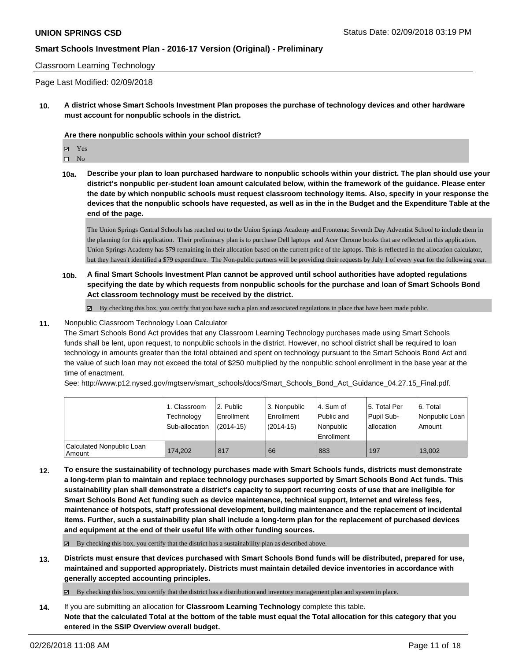#### Classroom Learning Technology

Page Last Modified: 02/09/2018

**10. A district whose Smart Schools Investment Plan proposes the purchase of technology devices and other hardware must account for nonpublic schools in the district.**

#### **Are there nonpublic schools within your school district?**

Yes

 $\square$  No

**10a. Describe your plan to loan purchased hardware to nonpublic schools within your district. The plan should use your district's nonpublic per-student loan amount calculated below, within the framework of the guidance. Please enter the date by which nonpublic schools must request classroom technology items. Also, specify in your response the devices that the nonpublic schools have requested, as well as in the in the Budget and the Expenditure Table at the end of the page.**

The Union Springs Central Schools has reached out to the Union Springs Academy and Frontenac Seventh Day Adventist School to include them in the planning for this application. Their preliminary plan is to purchase Dell laptops and Acer Chrome books that are reflected in this application. Union Springs Academy has \$79 remaining in their allocation based on the current price of the laptops. This is reflected in the allocation calculator, but they haven't identified a \$79 expenditure. The Non-public partners will be providing their requests by July 1 of every year for the following year.

**10b. A final Smart Schools Investment Plan cannot be approved until school authorities have adopted regulations specifying the date by which requests from nonpublic schools for the purchase and loan of Smart Schools Bond Act classroom technology must be received by the district.**

 $\boxtimes$  By checking this box, you certify that you have such a plan and associated regulations in place that have been made public.

#### **11.** Nonpublic Classroom Technology Loan Calculator

The Smart Schools Bond Act provides that any Classroom Learning Technology purchases made using Smart Schools funds shall be lent, upon request, to nonpublic schools in the district. However, no school district shall be required to loan technology in amounts greater than the total obtained and spent on technology pursuant to the Smart Schools Bond Act and the value of such loan may not exceed the total of \$250 multiplied by the nonpublic school enrollment in the base year at the time of enactment.

See: http://www.p12.nysed.gov/mgtserv/smart\_schools/docs/Smart\_Schools\_Bond\_Act\_Guidance\_04.27.15\_Final.pdf.

|                                     | 1. Classroom<br>Technology<br>Sub-allocation | 2. Public<br>Enrollment<br>$(2014-15)$ | 3. Nonpublic<br>Enrollment<br>(2014-15) | l 4. Sum of<br>l Public and<br>Nonpublic<br>l Enrollment | 15. Total Per<br>Pupil Sub-<br>lallocation | l 6. Total<br>Nonpublic Loan<br>Amount |
|-------------------------------------|----------------------------------------------|----------------------------------------|-----------------------------------------|----------------------------------------------------------|--------------------------------------------|----------------------------------------|
| Calculated Nonpublic Loan<br>Amount | 174.202                                      | 817                                    | 66                                      | 883                                                      | 197                                        | 13.002                                 |

**12. To ensure the sustainability of technology purchases made with Smart Schools funds, districts must demonstrate a long-term plan to maintain and replace technology purchases supported by Smart Schools Bond Act funds. This sustainability plan shall demonstrate a district's capacity to support recurring costs of use that are ineligible for Smart Schools Bond Act funding such as device maintenance, technical support, Internet and wireless fees, maintenance of hotspots, staff professional development, building maintenance and the replacement of incidental items. Further, such a sustainability plan shall include a long-term plan for the replacement of purchased devices and equipment at the end of their useful life with other funding sources.**

By checking this box, you certify that the district has a sustainability plan as described above.

**13. Districts must ensure that devices purchased with Smart Schools Bond funds will be distributed, prepared for use, maintained and supported appropriately. Districts must maintain detailed device inventories in accordance with generally accepted accounting principles.**

By checking this box, you certify that the district has a distribution and inventory management plan and system in place.

**14.** If you are submitting an allocation for **Classroom Learning Technology** complete this table. **Note that the calculated Total at the bottom of the table must equal the Total allocation for this category that you entered in the SSIP Overview overall budget.**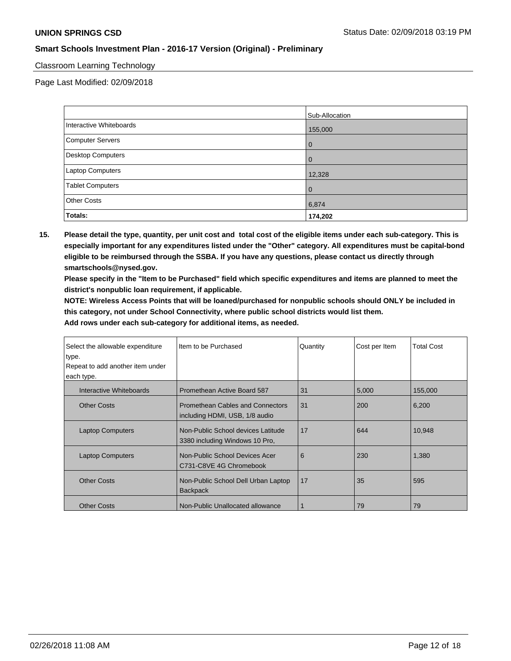### Classroom Learning Technology

Page Last Modified: 02/09/2018

|                         | Sub-Allocation |
|-------------------------|----------------|
| Interactive Whiteboards | 155,000        |
| Computer Servers        | 0              |
| Desktop Computers       | 0              |
| Laptop Computers        | 12,328         |
| <b>Tablet Computers</b> | $\mathbf 0$    |
| <b>Other Costs</b>      | 6,874          |
| Totals:                 | 174,202        |

**15. Please detail the type, quantity, per unit cost and total cost of the eligible items under each sub-category. This is especially important for any expenditures listed under the "Other" category. All expenditures must be capital-bond eligible to be reimbursed through the SSBA. If you have any questions, please contact us directly through smartschools@nysed.gov.**

**Please specify in the "Item to be Purchased" field which specific expenditures and items are planned to meet the district's nonpublic loan requirement, if applicable.**

**NOTE: Wireless Access Points that will be loaned/purchased for nonpublic schools should ONLY be included in this category, not under School Connectivity, where public school districts would list them.**

| Select the allowable expenditure<br>type.<br>Repeat to add another item under<br>each type. | Item to be Purchased                                                 | Quantity | Cost per Item | <b>Total Cost</b> |
|---------------------------------------------------------------------------------------------|----------------------------------------------------------------------|----------|---------------|-------------------|
| Interactive Whiteboards                                                                     | Promethean Active Board 587                                          | 31       | 5,000         | 155,000           |
| <b>Other Costs</b>                                                                          | Promethean Cables and Connectors<br>including HDMI, USB, 1/8 audio   | 31       | 200           | 6,200             |
| <b>Laptop Computers</b>                                                                     | Non-Public School devices Latitude<br>3380 including Windows 10 Pro, | 17       | 644           | 10,948            |
| <b>Laptop Computers</b>                                                                     | Non-Public School Devices Acer<br>C731-C8VE 4G Chromebook            | 6        | 230           | 1,380             |
| <b>Other Costs</b>                                                                          | Non-Public School Dell Urban Laptop<br><b>Backpack</b>               | 17       | 35            | 595               |
| <b>Other Costs</b>                                                                          | Non-Public Unallocated allowance                                     |          | 79            | 79                |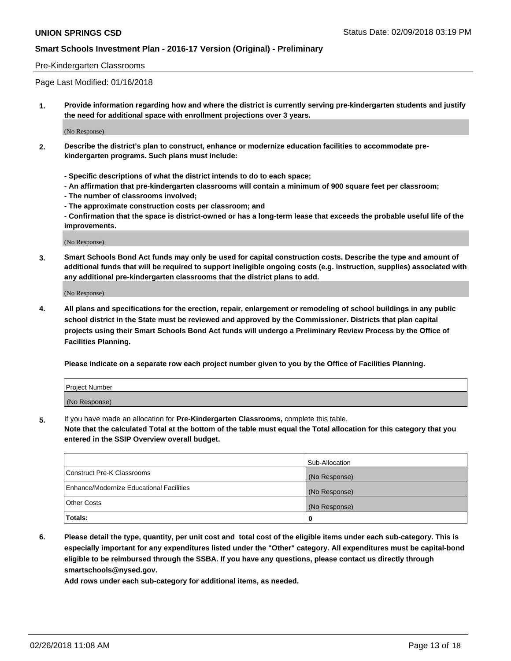### Pre-Kindergarten Classrooms

Page Last Modified: 01/16/2018

**1. Provide information regarding how and where the district is currently serving pre-kindergarten students and justify the need for additional space with enrollment projections over 3 years.**

(No Response)

- **2. Describe the district's plan to construct, enhance or modernize education facilities to accommodate prekindergarten programs. Such plans must include:**
	- **Specific descriptions of what the district intends to do to each space;**
	- **An affirmation that pre-kindergarten classrooms will contain a minimum of 900 square feet per classroom;**
	- **The number of classrooms involved;**
	- **The approximate construction costs per classroom; and**
	- **Confirmation that the space is district-owned or has a long-term lease that exceeds the probable useful life of the improvements.**

(No Response)

**3. Smart Schools Bond Act funds may only be used for capital construction costs. Describe the type and amount of additional funds that will be required to support ineligible ongoing costs (e.g. instruction, supplies) associated with any additional pre-kindergarten classrooms that the district plans to add.**

(No Response)

**4. All plans and specifications for the erection, repair, enlargement or remodeling of school buildings in any public school district in the State must be reviewed and approved by the Commissioner. Districts that plan capital projects using their Smart Schools Bond Act funds will undergo a Preliminary Review Process by the Office of Facilities Planning.**

**Please indicate on a separate row each project number given to you by the Office of Facilities Planning.**

| <b>Project Number</b> |  |
|-----------------------|--|
| (No Response)         |  |

**5.** If you have made an allocation for **Pre-Kindergarten Classrooms,** complete this table.

**Note that the calculated Total at the bottom of the table must equal the Total allocation for this category that you entered in the SSIP Overview overall budget.**

|                                          | Sub-Allocation |
|------------------------------------------|----------------|
| Construct Pre-K Classrooms               | (No Response)  |
| Enhance/Modernize Educational Facilities | (No Response)  |
| Other Costs                              | (No Response)  |
| Totals:                                  | 0              |

**6. Please detail the type, quantity, per unit cost and total cost of the eligible items under each sub-category. This is especially important for any expenditures listed under the "Other" category. All expenditures must be capital-bond eligible to be reimbursed through the SSBA. If you have any questions, please contact us directly through smartschools@nysed.gov.**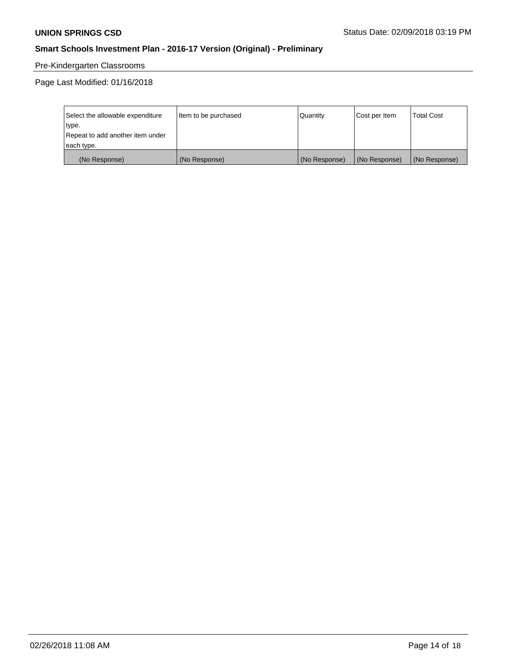# Pre-Kindergarten Classrooms

Page Last Modified: 01/16/2018

| Select the allowable expenditure | Item to be purchased | Quantity      | Cost per Item | <b>Total Cost</b> |
|----------------------------------|----------------------|---------------|---------------|-------------------|
| type.                            |                      |               |               |                   |
| Repeat to add another item under |                      |               |               |                   |
| each type.                       |                      |               |               |                   |
| (No Response)                    | (No Response)        | (No Response) | (No Response) | (No Response)     |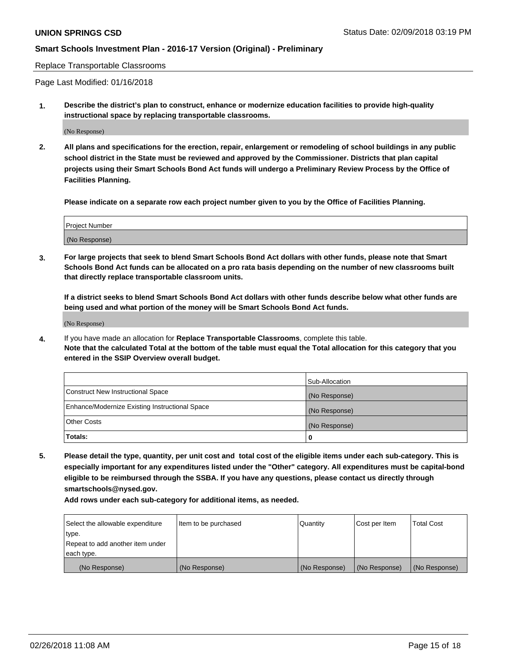Replace Transportable Classrooms

Page Last Modified: 01/16/2018

**1. Describe the district's plan to construct, enhance or modernize education facilities to provide high-quality instructional space by replacing transportable classrooms.**

(No Response)

**2. All plans and specifications for the erection, repair, enlargement or remodeling of school buildings in any public school district in the State must be reviewed and approved by the Commissioner. Districts that plan capital projects using their Smart Schools Bond Act funds will undergo a Preliminary Review Process by the Office of Facilities Planning.**

**Please indicate on a separate row each project number given to you by the Office of Facilities Planning.**

| <b>Project Number</b> |  |
|-----------------------|--|
| (No Response)         |  |
|                       |  |

**3. For large projects that seek to blend Smart Schools Bond Act dollars with other funds, please note that Smart Schools Bond Act funds can be allocated on a pro rata basis depending on the number of new classrooms built that directly replace transportable classroom units.**

**If a district seeks to blend Smart Schools Bond Act dollars with other funds describe below what other funds are being used and what portion of the money will be Smart Schools Bond Act funds.**

(No Response)

**4.** If you have made an allocation for **Replace Transportable Classrooms**, complete this table. **Note that the calculated Total at the bottom of the table must equal the Total allocation for this category that you entered in the SSIP Overview overall budget.**

|                                                | Sub-Allocation |
|------------------------------------------------|----------------|
| Construct New Instructional Space              | (No Response)  |
| Enhance/Modernize Existing Instructional Space | (No Response)  |
| Other Costs                                    | (No Response)  |
| Totals:                                        | 0              |

**5. Please detail the type, quantity, per unit cost and total cost of the eligible items under each sub-category. This is especially important for any expenditures listed under the "Other" category. All expenditures must be capital-bond eligible to be reimbursed through the SSBA. If you have any questions, please contact us directly through smartschools@nysed.gov.**

| Select the allowable expenditure | Item to be purchased | Quantity      | Cost per Item | <b>Total Cost</b> |
|----------------------------------|----------------------|---------------|---------------|-------------------|
| type.                            |                      |               |               |                   |
| Repeat to add another item under |                      |               |               |                   |
| each type.                       |                      |               |               |                   |
| (No Response)                    | (No Response)        | (No Response) | (No Response) | (No Response)     |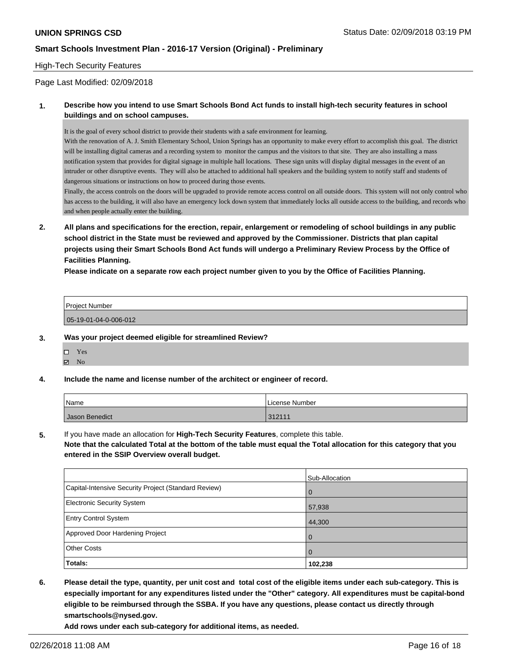### High-Tech Security Features

Page Last Modified: 02/09/2018

### **1. Describe how you intend to use Smart Schools Bond Act funds to install high-tech security features in school buildings and on school campuses.**

It is the goal of every school district to provide their students with a safe environment for learning.

With the renovation of A. J. Smith Elementary School, Union Springs has an opportunity to make every effort to accomplish this goal. The district will be installing digital cameras and a recording system to monitor the campus and the visitors to that site. They are also installing a mass notification system that provides for digital signage in multiple hall locations. These sign units will display digital messages in the event of an intruder or other disruptive events. They will also be attached to additional hall speakers and the building system to notify staff and students of dangerous situations or instructions on how to proceed during those events.

Finally, the access controls on the doors will be upgraded to provide remote access control on all outside doors. This system will not only control who has access to the building, it will also have an emergency lock down system that immediately locks all outside access to the building, and records who and when people actually enter the building.

**2. All plans and specifications for the erection, repair, enlargement or remodeling of school buildings in any public school district in the State must be reviewed and approved by the Commissioner. Districts that plan capital projects using their Smart Schools Bond Act funds will undergo a Preliminary Review Process by the Office of Facilities Planning.** 

**Please indicate on a separate row each project number given to you by the Office of Facilities Planning.**

| <b>Project Number</b> |  |
|-----------------------|--|
| 05-19-01-04-0-006-012 |  |

#### **3. Was your project deemed eligible for streamlined Review?**

- Yes
- $\boxtimes$  No

#### **4. Include the name and license number of the architect or engineer of record.**

| <b>Name</b>    | License Number       |
|----------------|----------------------|
| Jason Benedict | 21211<br><u>JZII</u> |

**5.** If you have made an allocation for **High-Tech Security Features**, complete this table.

**Note that the calculated Total at the bottom of the table must equal the Total allocation for this category that you entered in the SSIP Overview overall budget.**

|                                                      | Sub-Allocation |
|------------------------------------------------------|----------------|
| Capital-Intensive Security Project (Standard Review) | $\overline{0}$ |
| <b>Electronic Security System</b>                    | 57,938         |
| <b>Entry Control System</b>                          | 44,300         |
| Approved Door Hardening Project                      | $\overline{0}$ |
| <b>Other Costs</b>                                   | $\Omega$       |
| Totals:                                              | 102,238        |

**6. Please detail the type, quantity, per unit cost and total cost of the eligible items under each sub-category. This is especially important for any expenditures listed under the "Other" category. All expenditures must be capital-bond eligible to be reimbursed through the SSBA. If you have any questions, please contact us directly through smartschools@nysed.gov.**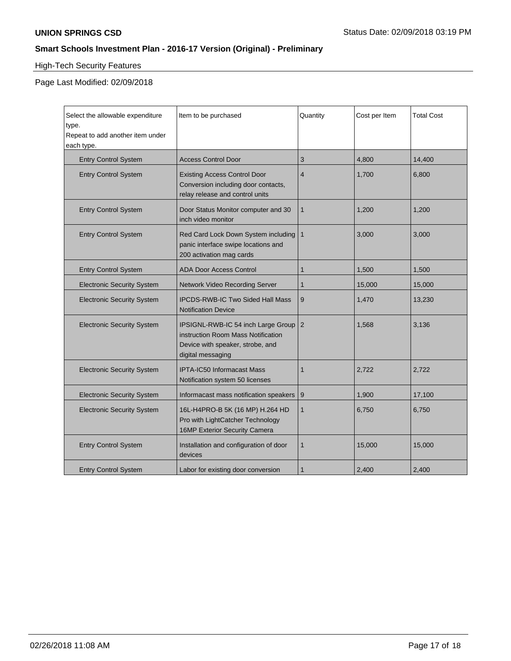# High-Tech Security Features

Page Last Modified: 02/09/2018

| Select the allowable expenditure<br>type.<br>Repeat to add another item under<br>each type. | Item to be purchased                                                                                                              | Quantity       | Cost per Item | <b>Total Cost</b> |
|---------------------------------------------------------------------------------------------|-----------------------------------------------------------------------------------------------------------------------------------|----------------|---------------|-------------------|
| <b>Entry Control System</b>                                                                 | <b>Access Control Door</b>                                                                                                        | 3              | 4,800         | 14,400            |
| <b>Entry Control System</b>                                                                 | <b>Existing Access Control Door</b><br>Conversion including door contacts,<br>relay release and control units                     | $\overline{4}$ | 1,700         | 6,800             |
| <b>Entry Control System</b>                                                                 | Door Status Monitor computer and 30<br>inch video monitor                                                                         | $\mathbf{1}$   | 1,200         | 1,200             |
| <b>Entry Control System</b>                                                                 | Red Card Lock Down System including<br>panic interface swipe locations and<br>200 activation mag cards                            | $\mathbf{1}$   | 3,000         | 3,000             |
| <b>Entry Control System</b>                                                                 | <b>ADA Door Access Control</b>                                                                                                    | 1              | 1,500         | 1,500             |
| <b>Electronic Security System</b>                                                           | <b>Network Video Recording Server</b>                                                                                             | $\mathbf{1}$   | 15,000        | 15,000            |
| <b>Electronic Security System</b>                                                           | IPCDS-RWB-IC Two Sided Hall Mass<br><b>Notification Device</b>                                                                    | 9              | 1,470         | 13,230            |
| <b>Electronic Security System</b>                                                           | IPSIGNL-RWB-IC 54 inch Large Group<br>instruction Room Mass Notification<br>Device with speaker, strobe, and<br>digital messaging | 2              | 1,568         | 3,136             |
| <b>Electronic Security System</b>                                                           | <b>IPTA-IC50 Informacast Mass</b><br>Notification system 50 licenses                                                              | 1              | 2,722         | 2,722             |
| <b>Electronic Security System</b>                                                           | Informacast mass notification speakers                                                                                            | 9              | 1,900         | 17,100            |
| <b>Electronic Security System</b>                                                           | 16L-H4PRO-B 5K (16 MP) H.264 HD<br>Pro with LightCatcher Technology<br>16MP Exterior Security Camera                              | $\mathbf{1}$   | 6,750         | 6,750             |
| <b>Entry Control System</b>                                                                 | Installation and configuration of door<br>devices                                                                                 | 1              | 15,000        | 15,000            |
| <b>Entry Control System</b>                                                                 | Labor for existing door conversion                                                                                                | 1              | 2,400         | 2,400             |